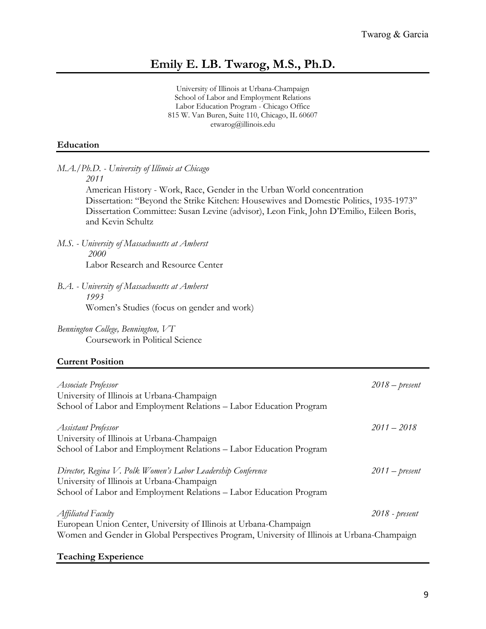# **Emily E. LB. Twarog, M.S., Ph.D.**

University of Illinois at Urbana-Champaign School of Labor and Employment Relations Labor Education Program - Chicago Office 815 W. Van Buren, Suite 110, Chicago, IL 60607 etwarog@illinois.edu

### **Education**

*M.A./Ph.D. - University of Illinois at Chicago 2011*

> American History - Work, Race, Gender in the Urban World concentration Dissertation: "Beyond the Strike Kitchen: Housewives and Domestic Politics, 1935-1973" Dissertation Committee: Susan Levine (advisor), Leon Fink, John D'Emilio, Eileen Boris, and Kevin Schultz

- *M.S. - University of Massachusetts at Amherst 2000* Labor Research and Resource Center
- *B.A. - University of Massachusetts at Amherst 1993* Women's Studies (focus on gender and work)
- *Bennington College, Bennington, VT* Coursework in Political Science

#### **Current Position**

| Associate Professor<br>University of Illinois at Urbana-Champaign<br>School of Labor and Employment Relations - Labor Education Program                                                | $2018$ – present |
|----------------------------------------------------------------------------------------------------------------------------------------------------------------------------------------|------------------|
| <b>Assistant Professor</b><br>University of Illinois at Urbana-Champaign<br>School of Labor and Employment Relations - Labor Education Program                                         | $2011 - 2018$    |
| Director, Regina V. Polk Women's Labor Leadership Conference<br>University of Illinois at Urbana-Champaign<br>School of Labor and Employment Relations - Labor Education Program       | $2011$ – present |
| Affiliated Faculty<br>European Union Center, University of Illinois at Urbana-Champaign<br>Women and Gender in Global Perspectives Program, University of Illinois at Urbana-Champaign | $2018$ - present |

#### **Teaching Experience**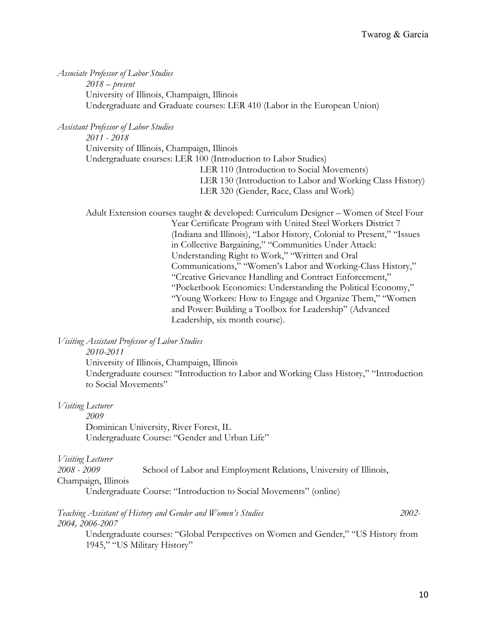*Associate Professor of Labor Studies 2018 – present* University of Illinois, Champaign, Illinois Undergraduate and Graduate courses: LER 410 (Labor in the European Union)

*Assistant Professor of Labor Studies* 

*2011 - 2018* University of Illinois, Champaign, Illinois Undergraduate courses: LER 100 (Introduction to Labor Studies) LER 110 (Introduction to Social Movements) LER 130 (Introduction to Labor and Working Class History) LER 320 (Gender, Race, Class and Work)

Adult Extension courses taught & developed: Curriculum Designer – Women of Steel Four Year Certificate Program with United Steel Workers District 7 (Indiana and Illinois), "Labor History, Colonial to Present," "Issues in Collective Bargaining," "Communities Under Attack: Understanding Right to Work," "Written and Oral Communications," "Women's Labor and Working-Class History," "Creative Grievance Handling and Contract Enforcement," "Pocketbook Economics: Understanding the Political Economy," "Young Workers: How to Engage and Organize Them," "Women and Power: Building a Toolbox for Leadership" (Advanced Leadership, six month course).

*Visiting Assistant Professor of Labor Studies*

*2010-2011*

University of Illinois, Champaign, Illinois Undergraduate courses: "Introduction to Labor and Working Class History," "Introduction to Social Movements"

*Visiting Lecturer*

*2009*

Dominican University, River Forest, IL Undergraduate Course: "Gender and Urban Life"

*Visiting Lecturer*

*2008 - 2009* School of Labor and Employment Relations, University of Illinois, Champaign, Illinois

Undergraduate Course: "Introduction to Social Movements" (online)

#### *Teaching Assistant of History and Gender and Women's Studies 2002- 2004, 2006-2007*

Undergraduate courses: "Global Perspectives on Women and Gender," "US History from 1945," "US Military History"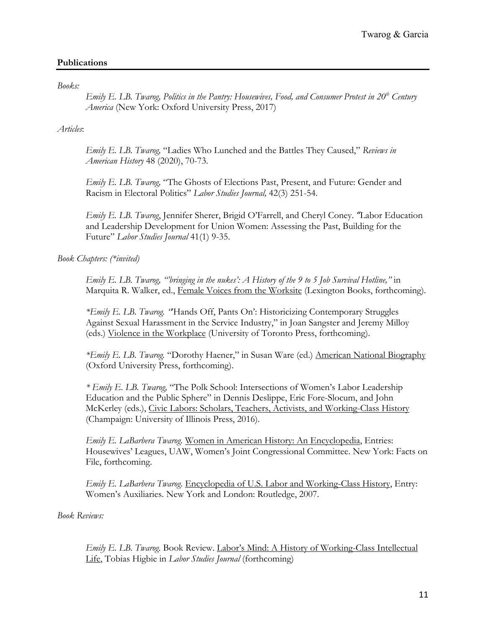# **Publications**

*Books:*

*Emily E. LB. Twarog, Politics in the Pantry: Housewives, Food, and Consumer Protest in 20th Century America* (New York: Oxford University Press, 2017)

### *Articles*:

*Emily E. LB. Twarog,* "Ladies Who Lunched and the Battles They Caused," *Reviews in American History* 48 (2020), 70-73.

*Emily E. LB. Twarog,* "The Ghosts of Elections Past, Present, and Future: Gender and Racism in Electoral Politics" *Labor Studies Journal,* 42(3) 251-54.

*Emily E. LB. Twarog*, Jennifer Sherer, Brigid O'Farrell, and Cheryl Coney. *"*Labor Education and Leadership Development for Union Women: Assessing the Past, Building for the Future" *Labor Studies Journal* 41(1) 9-35.

*Book Chapters: (\*invited)*

*Emily E. LB. Twarog, "'bringing in the nukes': A History of the 9 to 5 Job Survival Hotline,"* in Marquita R. Walker, ed., Female Voices from the Worksite (Lexington Books, forthcoming).

*\*Emily E. LB. Twarog. "*'Hands Off, Pants On': Historicizing Contemporary Struggles Against Sexual Harassment in the Service Industry," in Joan Sangster and Jeremy Milloy (eds.) Violence in the Workplace (University of Toronto Press, forthcoming).

*\*Emily E. LB. Twarog.* "Dorothy Haener," in Susan Ware (ed.) American National Biography (Oxford University Press, forthcoming).

*\* Emily E. LB. Twarog,* "The Polk School: Intersections of Women's Labor Leadership Education and the Public Sphere" in Dennis Deslippe, Eric Fore-Slocum, and John McKerley (eds.), Civic Labors: Scholars, Teachers, Activists, and Working-Class History (Champaign: University of Illinois Press, 2016).

*Emily E. LaBarbera Twarog.* Women in American History: An Encyclopedia, Entries: Housewives' Leagues, UAW, Women's Joint Congressional Committee. New York: Facts on File, forthcoming.

*Emily E. LaBarbera Twarog*. Encyclopedia of U.S. Labor and Working-Class History, Entry: Women's Auxiliaries. New York and London: Routledge, 2007.

*Book Reviews:*

*Emily E. LB. Twarog.* Book Review. Labor's Mind: A History of Working-Class Intellectual Life, Tobias Higbie in *Labor Studies Journal* (forthcoming)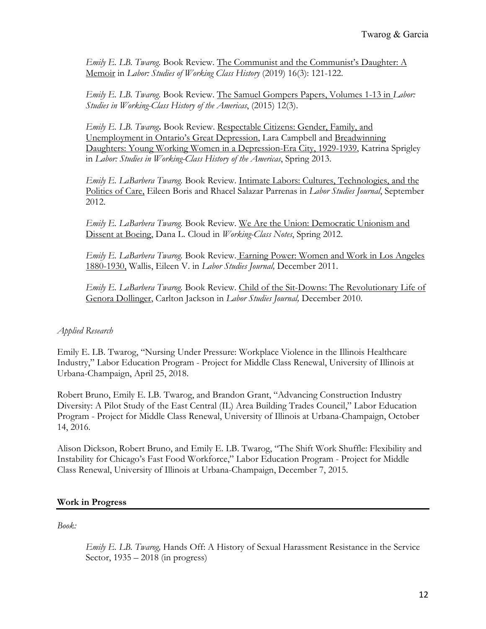*Emily E. LB. Twarog.* Book Review. The Communist and the Communist's Daughter: A Memoir in *Labor: Studies of Working Class History* (2019) 16(3): 121-122.

*Emily E. LB. Twarog.* Book Review. The Samuel Gompers Papers, Volumes 1-13 in *Labor: Studies in Working-Class History of the Americas*, (2015) 12(3).

*Emily E. LB. Twarog***.** Book Review. Respectable Citizens: Gender, Family, and Unemployment in Ontario's Great Depression, Lara Campbell and Breadwinning Daughters: Young Working Women in a Depression-Era City, 1929-1939, Katrina Sprigley in *Labor: Studies in Working-Class History of the Americas*, Spring 2013.

*Emily E. LaBarbera Twarog.* Book Review. Intimate Labors: Cultures, Technologies, and the Politics of Care, Eileen Boris and Rhacel Salazar Parrenas in *Labor Studies Journal*, September 2012.

*Emily E. LaBarbera Twarog.* Book Review. We Are the Union: Democratic Unionism and Dissent at Boeing, Dana L. Cloud in *Working-Class Notes*, Spring 2012.

*Emily E. LaBarbera Twarog.* Book Review. Earning Power: Women and Work in Los Angeles 1880-1930, Wallis, Eileen V. in *Labor Studies Journal,* December 2011.

*Emily E. LaBarbera Twarog.* Book Review. Child of the Sit-Downs: The Revolutionary Life of Genora Dollinger, Carlton Jackson in *Labor Studies Journal,* December 2010.

# *Applied Research*

Emily E. LB. Twarog, "Nursing Under Pressure: Workplace Violence in the Illinois Healthcare Industry," Labor Education Program - Project for Middle Class Renewal, University of Illinois at Urbana-Champaign, April 25, 2018.

Robert Bruno, Emily E. LB. Twarog, and Brandon Grant, "Advancing Construction Industry Diversity: A Pilot Study of the East Central (IL) Area Building Trades Council," Labor Education Program - Project for Middle Class Renewal, University of Illinois at Urbana-Champaign, October 14, 2016.

Alison Dickson, Robert Bruno, and Emily E. LB. Twarog, "The Shift Work Shuffle: Flexibility and Instability for Chicago's Fast Food Workforce," Labor Education Program - Project for Middle Class Renewal, University of Illinois at Urbana-Champaign, December 7, 2015.

#### **Work in Progress**

*Book:*

*Emily E. LB. Twarog,* Hands Off: A History of Sexual Harassment Resistance in the Service Sector, 1935 – 2018 (in progress)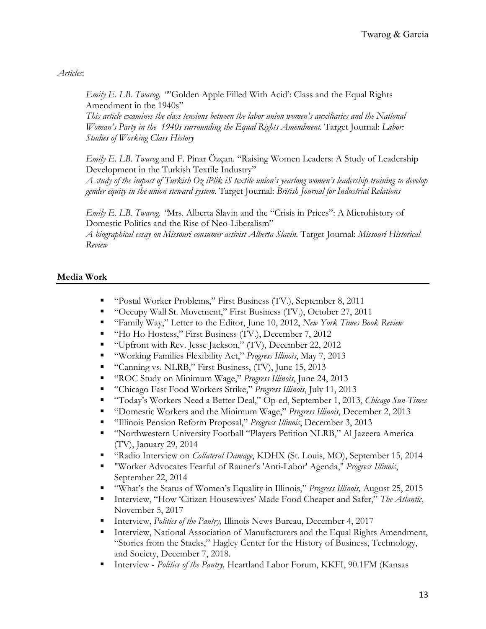*Articles*:

*Emily E. LB. Twarog.* "'Golden Apple Filled With Acid': Class and the Equal Rights Amendment in the 1940s"

*This article examines the class tensions between the labor union women's auxiliaries and the National Woman's Party in the 1940s surrounding the Equal Rights Amendment.* Target Journal: *Labor*: *Studies of Working Class History*

*Emily E. LB. Twarog* and F. Pinar Özçan. "Raising Women Leaders: A Study of Leadership Development in the Turkish Textile Industry"

*A study of the impact of Turkish Oz iPlik iS textile union's yearlong women's leadership training to develop gender equity in the union steward system.* Target Journal: *British Journal for Industrial Relations* 

*Emily E. LB. Twarog. "*Mrs. Alberta Slavin and the "Crisis in Prices": A Microhistory of Domestic Politics and the Rise of Neo-Liberalism"

*A biographical essay on Missouri consumer activist Alberta Slavin.* Target Journal: *Missouri Historical Review*

# **Media Work**

- "Postal Worker Problems," First Business (TV.), September 8, 2011
- "Occupy Wall St. Movement," First Business (TV.), October 27, 2011
- § "Family Way," Letter to the Editor, June 10, 2012, *New York Times Book Review*
- "Ho Ho Hostess," First Business (TV.), December 7, 2012
- "Upfront with Rev. Jesse Jackson," (TV), December 22, 2012
- § "Working Families Flexibility Act," *Progress Illinois*, May 7, 2013
- "Canning vs. NLRB," First Business, (TV), June 15, 2013
- § "ROC Study on Minimum Wage," *Progress Illinois*, June 24, 2013
- § "Chicago Fast Food Workers Strike," *Progress Illinois*, July 11, 2013
- § "Today's Workers Need a Better Deal," Op-ed, September 1, 2013, *Chicago Sun-Times*
- § "Domestic Workers and the Minimum Wage," *Progress Illinois*, December 2, 2013
- § "Illinois Pension Reform Proposal," *Progress Illinois*, December 3, 2013
- § "Northwestern University Football "Players Petition NLRB," Al Jazeera America (TV), January 29, 2014
- § "Radio Interview on *Collateral Damage*, KDHX (St. Louis, MO), September 15, 2014
- § "Worker Advocates Fearful of Rauner's 'Anti-Labor' Agenda," *Progress Illinois*, September 22, 2014
- "What's the Status of Women's Equality in Illinois," *Progress Illinois*, August 25, 2015
- Interview, "How 'Citizen Housewives' Made Food Cheaper and Safer," The Atlantic, November 5, 2017
- Interview, *Politics of the Pantry*, Illinois News Bureau, December 4, 2017
- Interview, National Association of Manufacturers and the Equal Rights Amendment, "Stories from the Stacks," Hagley Center for the History of Business, Technology, and Society, December 7, 2018.
- Interview *Politics of the Pantry*, Heartland Labor Forum, KKFI, 90.1FM (Kansas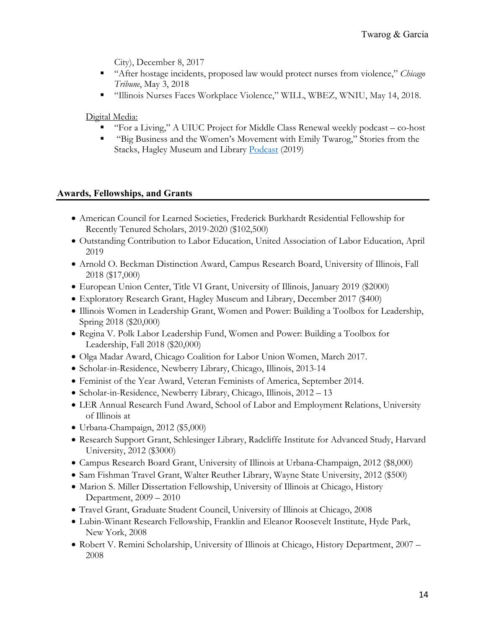City), December 8, 2017

- "After hostage incidents, proposed law would protect nurses from violence," *Chicago Tribune*, May 3, 2018
- § "Illinois Nurses Faces Workplace Violence," WILL, WBEZ, WNIU, May 14, 2018.

Digital Media:

- "For a Living," A UIUC Project for Middle Class Renewal weekly podcast co-host
- "Big Business and the Women's Movement with Emily Twarog," Stories from the Stacks, Hagley Museum and Library Podcast (2019)

# **Awards, Fellowships, and Grants**

- American Council for Learned Societies, Frederick Burkhardt Residential Fellowship for Recently Tenured Scholars, 2019-2020 (\$102,500)
- Outstanding Contribution to Labor Education, United Association of Labor Education, April 2019
- Arnold O. Beckman Distinction Award, Campus Research Board, University of Illinois, Fall 2018 (\$17,000)
- European Union Center, Title VI Grant, University of Illinois, January 2019 (\$2000)
- Exploratory Research Grant, Hagley Museum and Library, December 2017 (\$400)
- Illinois Women in Leadership Grant, Women and Power: Building a Toolbox for Leadership, Spring 2018 (\$20,000)
- Regina V. Polk Labor Leadership Fund, Women and Power: Building a Toolbox for Leadership, Fall 2018 (\$20,000)
- Olga Madar Award, Chicago Coalition for Labor Union Women, March 2017.
- Scholar-in-Residence, Newberry Library, Chicago, Illinois, 2013-14
- Feminist of the Year Award, Veteran Feminists of America, September 2014.
- Scholar-in-Residence, Newberry Library, Chicago, Illinois, 2012 13
- LER Annual Research Fund Award, School of Labor and Employment Relations, University of Illinois at
- Urbana-Champaign, 2012 (\$5,000)
- Research Support Grant, Schlesinger Library, Radcliffe Institute for Advanced Study, Harvard University, 2012 (\$3000)
- Campus Research Board Grant, University of Illinois at Urbana-Champaign, 2012 (\$8,000)
- Sam Fishman Travel Grant, Walter Reuther Library, Wayne State University, 2012 (\$500)
- Marion S. Miller Dissertation Fellowship, University of Illinois at Chicago, History Department, 2009 – 2010
- Travel Grant, Graduate Student Council, University of Illinois at Chicago, 2008
- Lubin-Winant Research Fellowship, Franklin and Eleanor Roosevelt Institute, Hyde Park, New York, 2008
- Robert V. Remini Scholarship, University of Illinois at Chicago, History Department, 2007 2008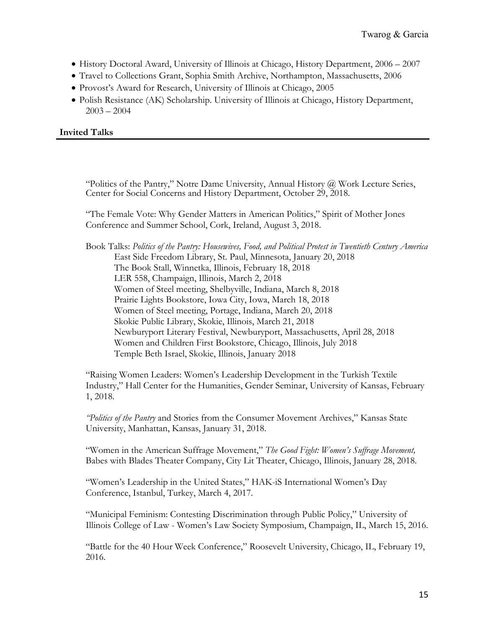- History Doctoral Award, University of Illinois at Chicago, History Department, 2006 2007
- Travel to Collections Grant, Sophia Smith Archive, Northampton, Massachusetts, 2006
- Provost's Award for Research, University of Illinois at Chicago, 2005
- Polish Resistance (AK) Scholarship. University of Illinois at Chicago, History Department,  $2003 - 2004$

# **Invited Talks**

"Politics of the Pantry," Notre Dame University, Annual History @ Work Lecture Series, Center for Social Concerns and History Department, October 29, 2018.

"The Female Vote: Why Gender Matters in American Politics," Spirit of Mother Jones Conference and Summer School, Cork, Ireland, August 3, 2018.

Book Talks: *Politics of the Pantry: Housewives, Food, and Political Protest in Twentieth Century America* East Side Freedom Library, St. Paul, Minnesota, January 20, 2018 The Book Stall, Winnetka, Illinois, February 18, 2018 LER 558, Champaign, Illinois, March 2, 2018 Women of Steel meeting, Shelbyville, Indiana, March 8, 2018 Prairie Lights Bookstore, Iowa City, Iowa, March 18, 2018 Women of Steel meeting, Portage, Indiana, March 20, 2018 Skokie Public Library, Skokie, Illinois, March 21, 2018 Newburyport Literary Festival, Newburyport, Massachusetts, April 28, 2018 Women and Children First Bookstore, Chicago, Illinois, July 2018 Temple Beth Israel, Skokie, Illinois, January 2018

"Raising Women Leaders: Women's Leadership Development in the Turkish Textile Industry," Hall Center for the Humanities, Gender Seminar, University of Kansas, February 1, 2018.

*"Politics of the Pantry* and Stories from the Consumer Movement Archives," Kansas State University, Manhattan, Kansas, January 31, 2018.

"Women in the American Suffrage Movement," *The Good Fight: Women's Suffrage Movement,*  Babes with Blades Theater Company, City Lit Theater, Chicago, Illinois, January 28, 2018.

"Women's Leadership in the United States," HAK-iS International Women's Day Conference, Istanbul, Turkey, March 4, 2017.

"Municipal Feminism: Contesting Discrimination through Public Policy," University of Illinois College of Law - Women's Law Society Symposium, Champaign, IL, March 15, 2016.

"Battle for the 40 Hour Week Conference," Roosevelt University, Chicago, IL, February 19, 2016.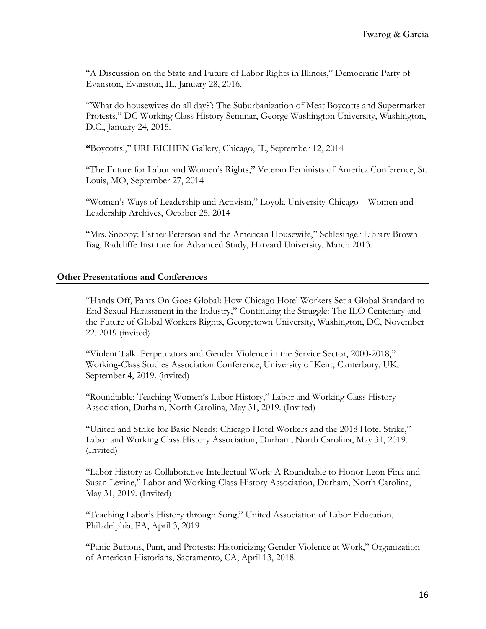"A Discussion on the State and Future of Labor Rights in Illinois," Democratic Party of Evanston, Evanston, IL, January 28, 2016.

"'What do housewives do all day?': The Suburbanization of Meat Boycotts and Supermarket Protests," DC Working Class History Seminar, George Washington University, Washington, D.C., January 24, 2015.

**"**Boycotts!," URI-EICHEN Gallery, Chicago, IL, September 12, 2014

"The Future for Labor and Women's Rights," Veteran Feminists of America Conference, St. Louis, MO, September 27, 2014

"Women's Ways of Leadership and Activism," Loyola University-Chicago – Women and Leadership Archives, October 25, 2014

"Mrs. Snoopy: Esther Peterson and the American Housewife," Schlesinger Library Brown Bag, Radcliffe Institute for Advanced Study, Harvard University, March 2013.

#### **Other Presentations and Conferences**

"Hands Off, Pants On Goes Global: How Chicago Hotel Workers Set a Global Standard to End Sexual Harassment in the Industry," Continuing the Struggle: The ILO Centenary and the Future of Global Workers Rights, Georgetown University, Washington, DC, November 22, 2019 (invited)

"Violent Talk: Perpetuators and Gender Violence in the Service Sector, 2000-2018," Working-Class Studies Association Conference, University of Kent, Canterbury, UK, September 4, 2019. (invited)

"Roundtable: Teaching Women's Labor History," Labor and Working Class History Association, Durham, North Carolina, May 31, 2019. (Invited)

"United and Strike for Basic Needs: Chicago Hotel Workers and the 2018 Hotel Strike," Labor and Working Class History Association, Durham, North Carolina, May 31, 2019. (Invited)

"Labor History as Collaborative Intellectual Work: A Roundtable to Honor Leon Fink and Susan Levine," Labor and Working Class History Association, Durham, North Carolina, May 31, 2019. (Invited)

"Teaching Labor's History through Song," United Association of Labor Education, Philadelphia, PA, April 3, 2019

"Panic Buttons, Pant, and Protests: Historicizing Gender Violence at Work," Organization of American Historians, Sacramento, CA, April 13, 2018.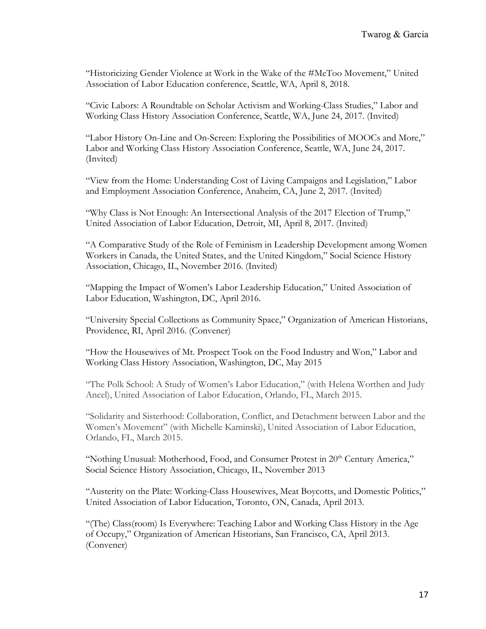"Historicizing Gender Violence at Work in the Wake of the #MeToo Movement," United Association of Labor Education conference, Seattle, WA, April 8, 2018.

"Civic Labors: A Roundtable on Scholar Activism and Working-Class Studies," Labor and Working Class History Association Conference, Seattle, WA, June 24, 2017. (Invited)

"Labor History On-Line and On-Screen: Exploring the Possibilities of MOOCs and More," Labor and Working Class History Association Conference, Seattle, WA, June 24, 2017. (Invited)

"View from the Home: Understanding Cost of Living Campaigns and Legislation," Labor and Employment Association Conference, Anaheim, CA, June 2, 2017. (Invited)

"Why Class is Not Enough: An Intersectional Analysis of the 2017 Election of Trump," United Association of Labor Education, Detroit, MI, April 8, 2017. (Invited)

"A Comparative Study of the Role of Feminism in Leadership Development among Women Workers in Canada, the United States, and the United Kingdom," Social Science History Association, Chicago, IL, November 2016. (Invited)

"Mapping the Impact of Women's Labor Leadership Education," United Association of Labor Education, Washington, DC, April 2016.

"University Special Collections as Community Space," Organization of American Historians, Providence, RI, April 2016. (Convener)

"How the Housewives of Mt. Prospect Took on the Food Industry and Won," Labor and Working Class History Association, Washington, DC, May 2015

"The Polk School: A Study of Women's Labor Education," (with Helena Worthen and Judy Ancel), United Association of Labor Education, Orlando, FL, March 2015.

"Solidarity and Sisterhood: Collaboration, Conflict, and Detachment between Labor and the Women's Movement" (with Michelle Kaminski), United Association of Labor Education, Orlando, FL, March 2015.

"Nothing Unusual: Motherhood, Food, and Consumer Protest in 20<sup>th</sup> Century America," Social Science History Association, Chicago, IL, November 2013

"Austerity on the Plate: Working-Class Housewives, Meat Boycotts, and Domestic Politics," United Association of Labor Education, Toronto, ON, Canada, April 2013.

"(The) Class(room) Is Everywhere: Teaching Labor and Working Class History in the Age of Occupy," Organization of American Historians, San Francisco, CA, April 2013. (Convener)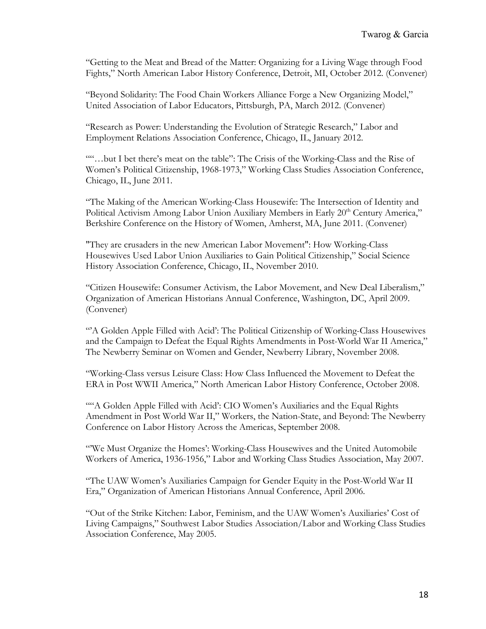"Getting to the Meat and Bread of the Matter: Organizing for a Living Wage through Food Fights," North American Labor History Conference, Detroit, MI, October 2012. (Convener)

"Beyond Solidarity: The Food Chain Workers Alliance Forge a New Organizing Model," United Association of Labor Educators, Pittsburgh, PA, March 2012. (Convener)

"Research as Power: Understanding the Evolution of Strategic Research," Labor and Employment Relations Association Conference, Chicago, IL, January 2012.

""…but I bet there's meat on the table": The Crisis of the Working-Class and the Rise of Women's Political Citizenship, 1968-1973," Working Class Studies Association Conference, Chicago, IL, June 2011.

"The Making of the American Working-Class Housewife: The Intersection of Identity and Political Activism Among Labor Union Auxiliary Members in Early 20<sup>th</sup> Century America," Berkshire Conference on the History of Women, Amherst, MA, June 2011. (Convener)

"They are crusaders in the new American Labor Movement": How Working-Class Housewives Used Labor Union Auxiliaries to Gain Political Citizenship," Social Science History Association Conference, Chicago, IL, November 2010.

"Citizen Housewife: Consumer Activism, the Labor Movement, and New Deal Liberalism," Organization of American Historians Annual Conference, Washington, DC, April 2009. (Convener)

"A Golden Apple Filled with Acid': The Political Citizenship of Working-Class Housewives and the Campaign to Defeat the Equal Rights Amendments in Post-World War II America," The Newberry Seminar on Women and Gender, Newberry Library, November 2008.

"Working-Class versus Leisure Class: How Class Influenced the Movement to Defeat the ERA in Post WWII America," North American Labor History Conference, October 2008.

""A Golden Apple Filled with Acid': CIO Women's Auxiliaries and the Equal Rights Amendment in Post World War II," Workers, the Nation-State, and Beyond: The Newberry Conference on Labor History Across the Americas, September 2008.

"'We Must Organize the Homes': Working-Class Housewives and the United Automobile Workers of America, 1936-1956," Labor and Working Class Studies Association, May 2007.

"The UAW Women's Auxiliaries Campaign for Gender Equity in the Post-World War II Era," Organization of American Historians Annual Conference, April 2006.

"Out of the Strike Kitchen: Labor, Feminism, and the UAW Women's Auxiliaries' Cost of Living Campaigns," Southwest Labor Studies Association/Labor and Working Class Studies Association Conference, May 2005.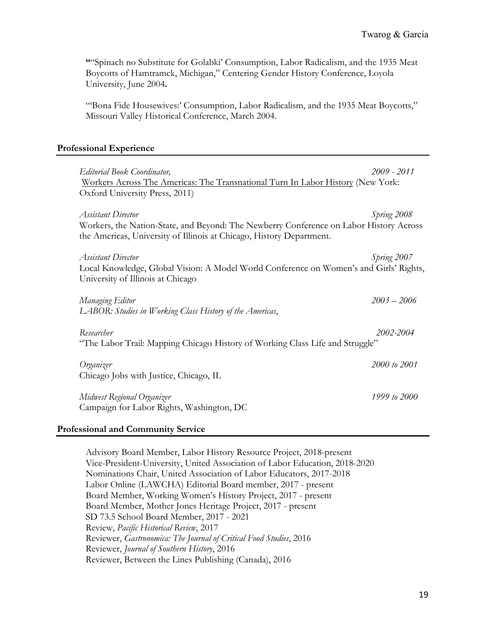**"**"Spinach no Substitute for Golabki' Consumption, Labor Radicalism, and the 1935 Meat Boycotts of Hamtramck, Michigan," Centering Gender History Conference, Loyola University, June 2004**.**

"'Bona Fide Housewives:' Consumption, Labor Radicalism, and the 1935 Meat Boycotts," Missouri Valley Historical Conference, March 2004.

### **Professional Experience**

| <b>Editorial Book Coordinator,</b> | Workers Across The Americas: The Transnational Turn In Labor History (New York:<br>Oxford University Press, 2011)                                              | 2009 - 2011   |
|------------------------------------|----------------------------------------------------------------------------------------------------------------------------------------------------------------|---------------|
| <b>Assistant Director</b>          | Workers, the Nation-State, and Beyond: The Newberry Conference on Labor History Across<br>the Americas, University of Illinois at Chicago, History Department. | Spring 2008   |
| <b>Assistant Director</b>          | Local Knowledge, Global Vision: A Model World Conference on Women's and Girls' Rights,<br>University of Illinois at Chicago                                    | Spring 2007   |
| Managing Editor                    | LABOR: Studies in Working Class History of the Americas,                                                                                                       | $2003 - 2006$ |
| Researcher                         | "The Labor Trail: Mapping Chicago History of Working Class Life and Struggle"                                                                                  | 2002-2004     |
| Organizer                          | Chicago Jobs with Justice, Chicago, IL                                                                                                                         | 2000 to 2001  |
| Midwest Regional Organizer         | Campaign for Labor Rights, Washington, DC                                                                                                                      | 1999 to 2000  |
| Professional and Community Service |                                                                                                                                                                |               |

Advisory Board Member, Labor History Resource Project, 2018-present Vice-President-University, United Association of Labor Education, 2018-2020 Nominations Chair, United Association of Labor Educators, 2017-2018 Labor Online (LAWCHA) Editorial Board member, 2017 - present Board Member, Working Women's History Project, 2017 - present Board Member, Mother Jones Heritage Project, 2017 - present SD 73.5 School Board Member, 2017 - 2021 Review, *Pacific Historical Review*, 2017 Reviewer, *Gastronomica: The Journal of Critical Food Studies*, 2016 Reviewer, *Journal of Southern History*, 2016 Reviewer, Between the Lines Publishing (Canada), 2016